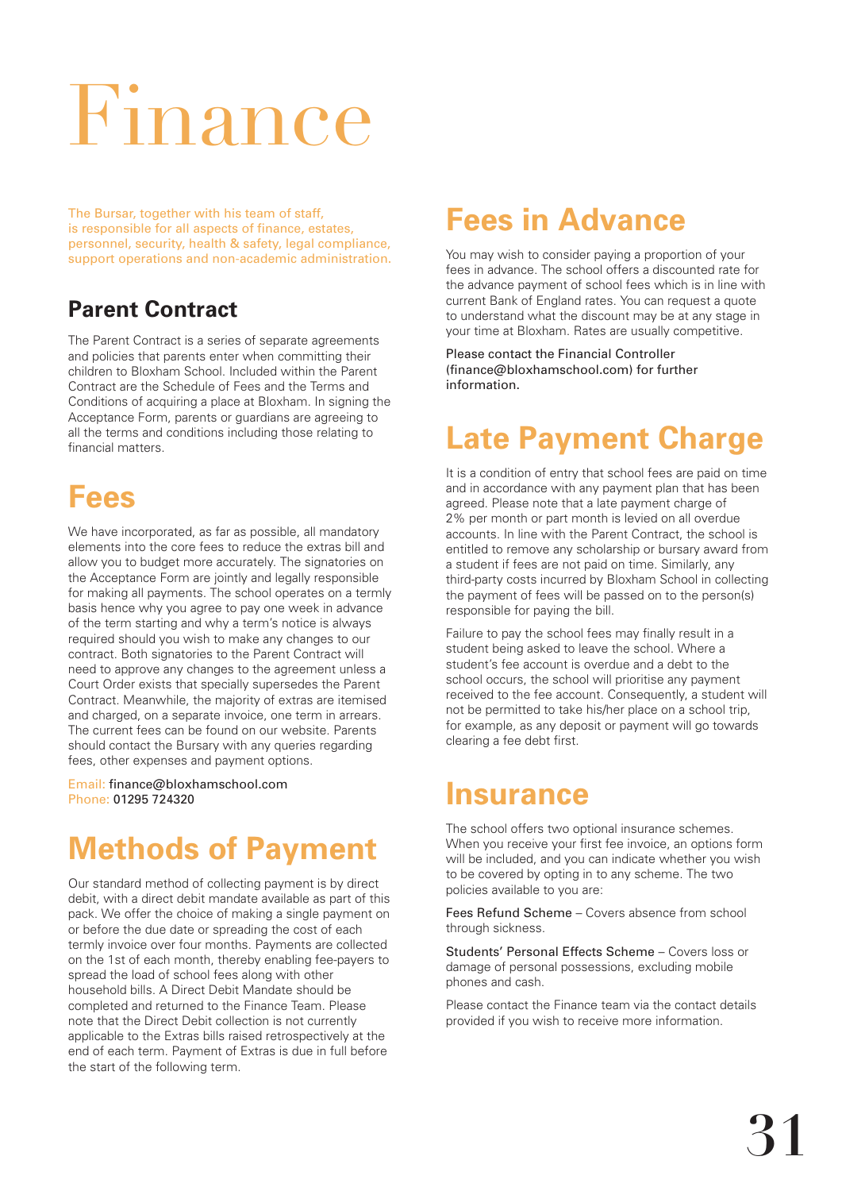# Finance

The Bursar, together with his team of staff, is responsible for all aspects of finance, estates, personnel, security, health & safety, legal compliance, support operations and non-academic administration.

#### **Parent Contract**

The Parent Contract is a series of separate agreements and policies that parents enter when committing their children to Bloxham School. Included within the Parent Contract are the Schedule of Fees and the Terms and Conditions of acquiring a place at Bloxham. In signing the Acceptance Form, parents or guardians are agreeing to all the terms and conditions including those relating to financial matters.

# **Fees**

We have incorporated, as far as possible, all mandatory elements into the core fees to reduce the extras bill and allow you to budget more accurately. The signatories on the Acceptance Form are jointly and legally responsible for making all payments. The school operates on a termly basis hence why you agree to pay one week in advance of the term starting and why a term's notice is always required should you wish to make any changes to our contract. Both signatories to the Parent Contract will need to approve any changes to the agreement unless a Court Order exists that specially supersedes the Parent Contract. Meanwhile, the majority of extras are itemised and charged, on a separate invoice, one term in arrears. The current fees can be found on our website. Parents should contact the Bursary with any queries regarding fees, other expenses and payment options.

Email: finance@bloxhamschool.com Phone: 01295 724320

# **Methods of Payment**

Our standard method of collecting payment is by direct debit, with a direct debit mandate available as part of this pack. We offer the choice of making a single payment on or before the due date or spreading the cost of each termly invoice over four months. Payments are collected on the 1st of each month, thereby enabling fee-payers to spread the load of school fees along with other household bills. A Direct Debit Mandate should be completed and returned to the Finance Team. Please note that the Direct Debit collection is not currently applicable to the Extras bills raised retrospectively at the end of each term. Payment of Extras is due in full before the start of the following term.

### **Fees in Advance**

You may wish to consider paying a proportion of your fees in advance. The school offers a discounted rate for the advance payment of school fees which is in line with current Bank of England rates. You can request a quote to understand what the discount may be at any stage in your time at Bloxham. Rates are usually competitive.

Please contact the Financial Controller (finance@bloxhamschool.com) for further information.

## **Late Payment Charge**

It is a condition of entry that school fees are paid on time and in accordance with any payment plan that has been agreed. Please note that a late payment charge of 2% per month or part month is levied on all overdue accounts. In line with the Parent Contract, the school is entitled to remove any scholarship or bursary award from a student if fees are not paid on time. Similarly, any third-party costs incurred by Bloxham School in collecting the payment of fees will be passed on to the person(s) responsible for paying the bill.

Failure to pay the school fees may finally result in a student being asked to leave the school. Where a student's fee account is overdue and a debt to the school occurs, the school will prioritise any payment received to the fee account. Consequently, a student will not be permitted to take his/her place on a school trip, for example, as any deposit or payment will go towards clearing a fee debt first.

#### **Insurance**

The school offers two optional insurance schemes. When you receive your first fee invoice, an options form will be included, and you can indicate whether you wish to be covered by opting in to any scheme. The two policies available to you are:

Fees Refund Scheme – Covers absence from school through sickness.

Students' Personal Effects Scheme – Covers loss or damage of personal possessions, excluding mobile phones and cash.

Please contact the Finance team via the contact details provided if you wish to receive more information.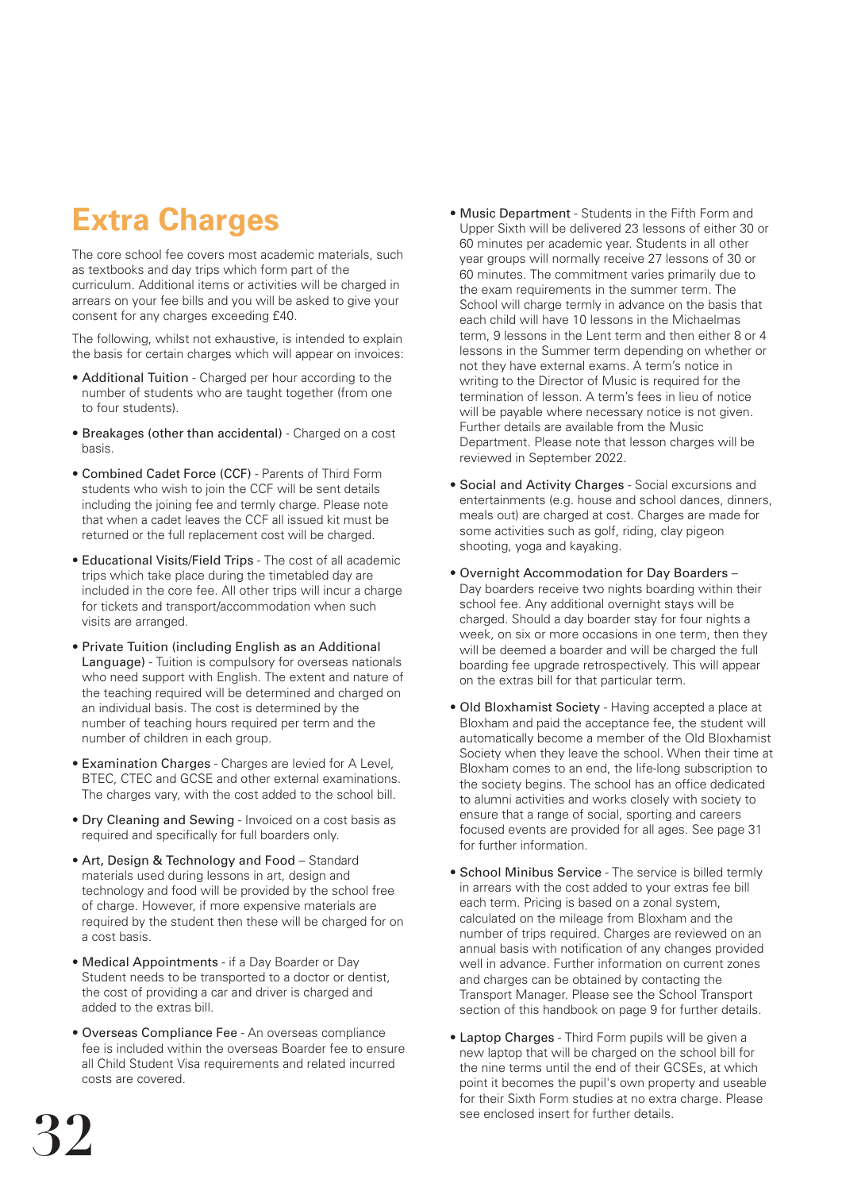# **Extra Charges**

The core school fee covers most academic materials, such as textbooks and day trips which form part of the curriculum. Additional items or activities will be charged in arrears on your fee bills and you will be asked to give your consent for any charges exceeding £40.

The following, whilst not exhaustive, is intended to explain the basis for certain charges which will appear on invoices:

- Additional Tuition Charged per hour according to the number of students who are taught together (from one to four students).
- Breakages (other than accidental) Charged on a cost basis.
- Combined Cadet Force (CCF) Parents of Third Form students who wish to join the CCF will be sent details including the joining fee and termly charge. Please note that when a cadet leaves the CCF all issued kit must be returned or the full replacement cost will be charged.
- Educational Visits/Field Trips The cost of all academic trips which take place during the timetabled day are included in the core fee. All other trips will incur a charge for tickets and transport/accommodation when such visits are arranged.
- Private Tuition (including English as an Additional Language) - Tuition is compulsory for overseas nationals who need support with English. The extent and nature of the teaching required will be determined and charged on an individual basis. The cost is determined by the number of teaching hours required per term and the number of children in each group.
- Examination Charges Charges are levied for A Level, BTEC, CTEC and GCSE and other external examinations. The charges vary, with the cost added to the school bill.
- Dry Cleaning and Sewing Invoiced on a cost basis as required and specifically for full boarders only.
- Art, Design & Technology and Food Standard materials used during lessons in art, design and technology and food will be provided by the school free of charge. However, if more expensive materials are required by the student then these will be charged for on a cost basis.
- Medical Appointments if a Day Boarder or Day Student needs to be transported to a doctor or dentist, the cost of providing a car and driver is charged and added to the extras bill.
- Overseas Compliance Fee An overseas compliance fee is included within the overseas Boarder fee to ensure all Child Student Visa requirements and related incurred costs are covered.
- Music Department Students in the Fifth Form and Upper Sixth will be delivered 23 lessons of either 30 or 60 minutes per academic year. Students in all other year groups will normally receive 27 lessons of 30 or 60 minutes. The commitment varies primarily due to the exam requirements in the summer term. The School will charge termly in advance on the basis that each child will have 10 lessons in the Michaelmas term, 9 lessons in the Lent term and then either 8 or 4 lessons in the Summer term depending on whether or not they have external exams. A term's notice in writing to the Director of Music is required for the termination of lesson. A term's fees in lieu of notice will be payable where necessary notice is not given. Further details are available from the Music Department. Please note that lesson charges will be reviewed in September 2022.
- Social and Activity Charges Social excursions and entertainments (e.g. house and school dances, dinners, meals out) are charged at cost. Charges are made for some activities such as golf, riding, clay pigeon shooting, yoga and kayaking.
- Overnight Accommodation for Day Boarders Day boarders receive two nights boarding within their school fee. Any additional overnight stays will be charged. Should a day boarder stay for four nights a week, on six or more occasions in one term, then they will be deemed a boarder and will be charged the full boarding fee upgrade retrospectively. This will appear on the extras bill for that particular term.
- Old Bloxhamist Society Having accepted a place at Bloxham and paid the acceptance fee, the student will automatically become a member of the Old Bloxhamist Society when they leave the school. When their time at Bloxham comes to an end, the life-long subscription to the society begins. The school has an office dedicated to alumni activities and works closely with society to ensure that a range of social, sporting and careers focused events are provided for all ages. See page 31 for further information.
- School Minibus Service The service is billed termly in arrears with the cost added to your extras fee bill each term. Pricing is based on a zonal system, calculated on the mileage from Bloxham and the number of trips required. Charges are reviewed on an annual basis with notification of any changes provided well in advance. Further information on current zones and charges can be obtained by contacting the Transport Manager. Please see the School Transport section of this handbook on page 9 for further details.
- Laptop Charges Third Form pupils will be given a new laptop that will be charged on the school bill for the nine terms until the end of their GCSEs, at which point it becomes the pupil's own property and useable for their Sixth Form studies at no extra charge. Please see enclosed insert for further details.